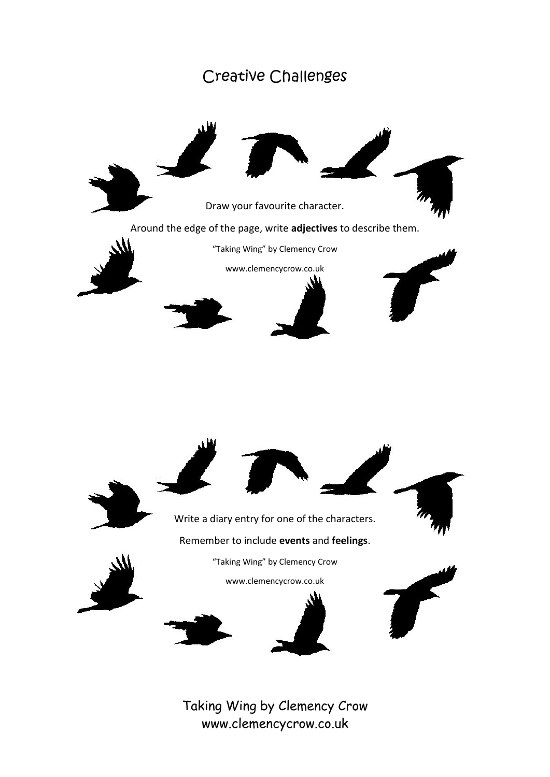## Creative Challenges

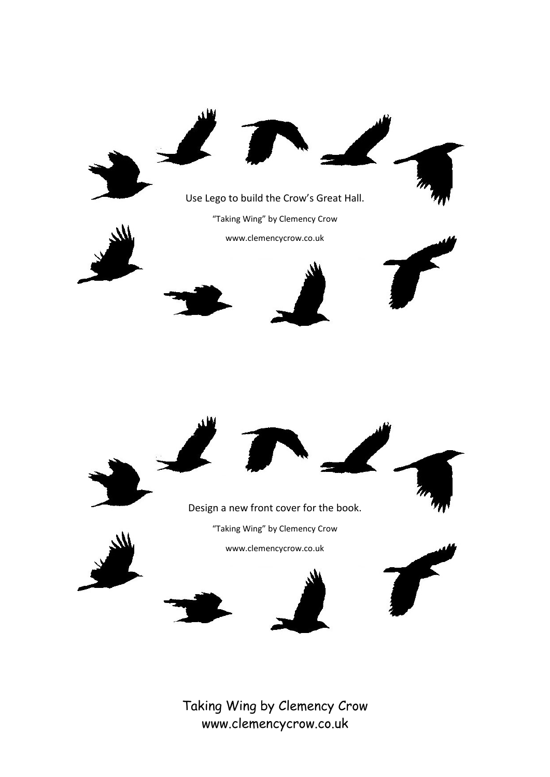





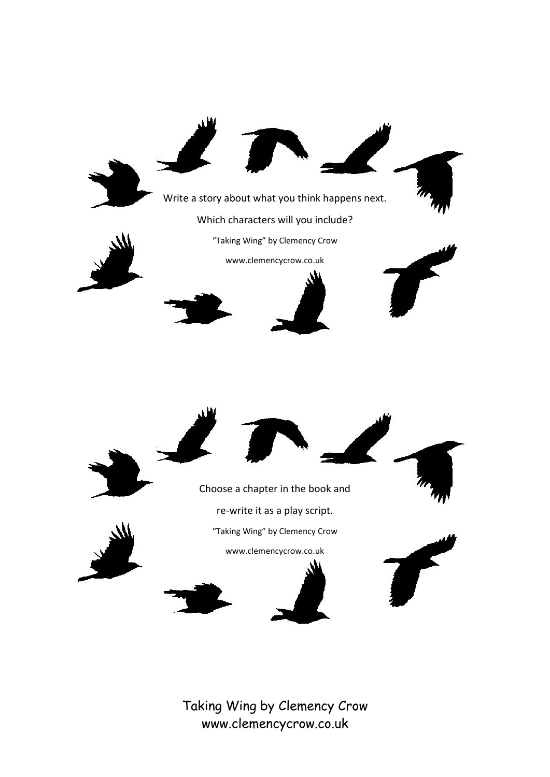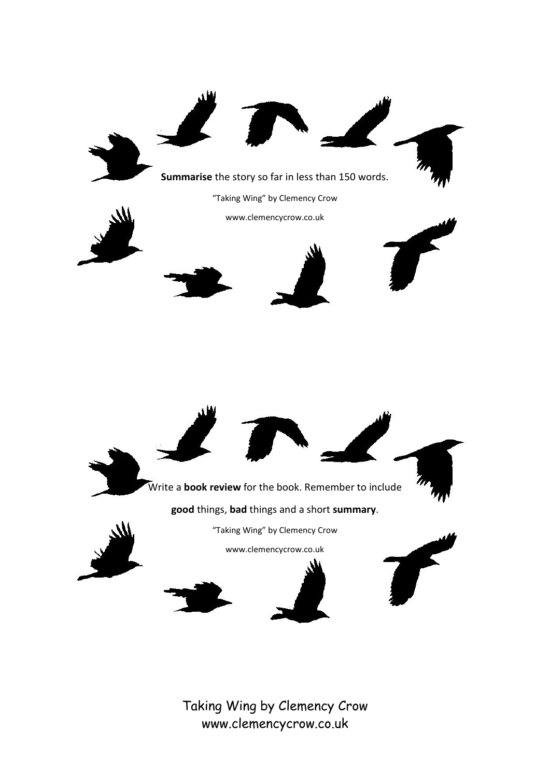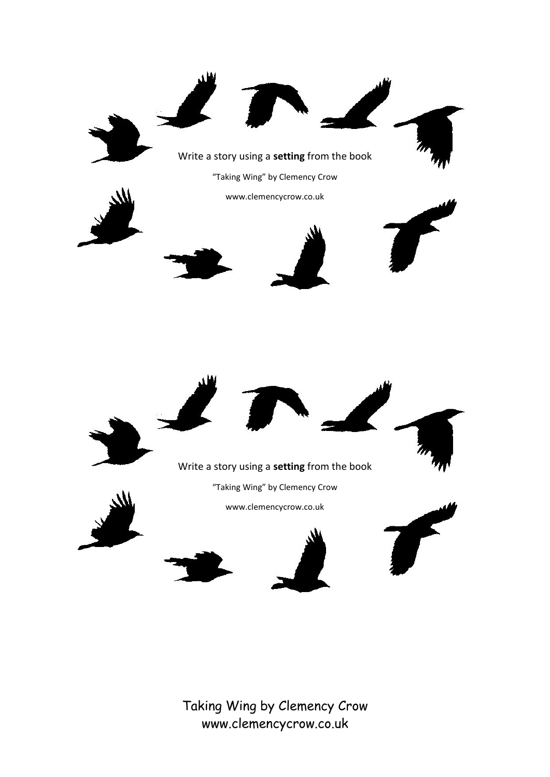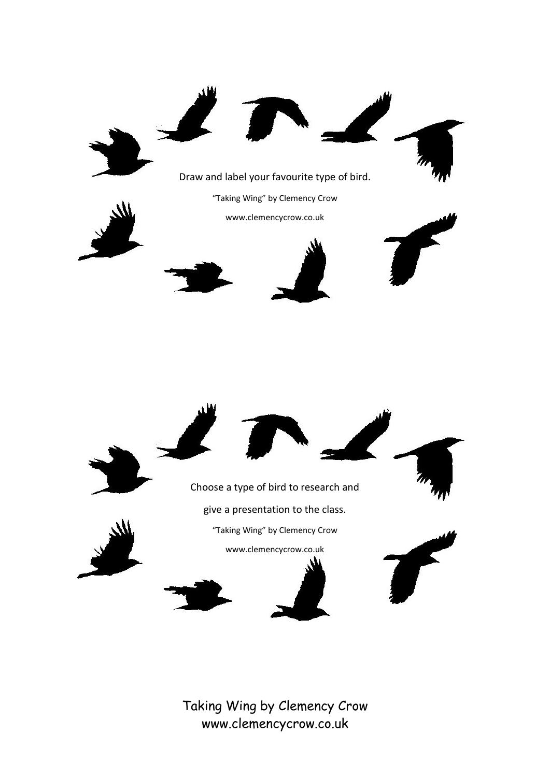

Choose a type of bird to research and give a presentation to the class.



"Taking Wing" by Clemency Crow

www.clemencycrow.co.uk